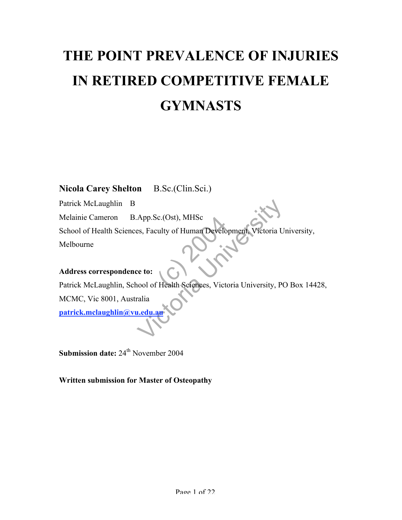# **THE POINT PREVALENCE OF INJURIES IN RETIRED COMPETITIVE FEMALE GYMNASTS**

# **Nicola Carey Shelton** B.Sc.(Clin.Sci.)

c.(Ost), MHSc<br>culty of Human Develo<br>THealth Sciences, Victor App.Sc.(Ost), MHSc<br>es, Faculty of Human Development, Victoria U<br>ve to:<br>nool of Health Sciences, Victoria University, PC<br>ralia<br>du.an Patrick McLaughlin B Melainie Cameron B.App.Sc.(Ost), MHSc School of Health Sciences, Faculty of Human Development, Victoria University, Melbourne

## **Address correspondence to:**

Patrick McLaughlin, School of Health Sciences, Victoria University, PO Box 14428, MCMC, Vic 8001, Australia **patrick.mclaughlin@vu.edu.au**

**Submission date:**  $24^{th}$  November 2004

**Written submission for Master of Osteopathy**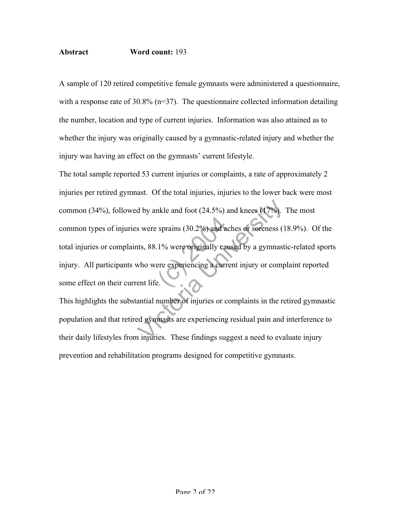## **Abstract Word count:** 193

A sample of 120 retired competitive female gymnasts were administered a questionnaire, with a response rate of 30.8% (n=37). The questionnaire collected information detailing the number, location and type of current injuries. Information was also attained as to whether the injury was originally caused by a gymnastic-related injury and whether the injury was having an effect on the gymnasts' current lifestyle.

sprains (30.2%) and a d by ankle and foot  $(24.5\%)$  and knees  $(17\%)$ .<br>
s were sprains  $(30.2\%)$  and aches or soreness  $(1$ <br>
nts, 88.1% were originally caused by a gymnast<br>
who were experiencing a current injury or comp<br>
ent life.<br>
antial numb The total sample reported 53 current injuries or complaints, a rate of approximately 2 injuries per retired gymnast. Of the total injuries, injuries to the lower back were most common (34%), followed by ankle and foot (24.5%) and knees (17%). The most common types of injuries were sprains (30.2%) and aches or soreness (18.9%). Of the total injuries or complaints, 88.1% were originally caused by a gymnastic-related sports injury. All participants who were experiencing a current injury or complaint reported some effect on their current life.

This highlights the substantial number of injuries or complaints in the retired gymnastic population and that retired gymnasts are experiencing residual pain and interference to their daily lifestyles from injuries. These findings suggest a need to evaluate injury prevention and rehabilitation programs designed for competitive gymnasts.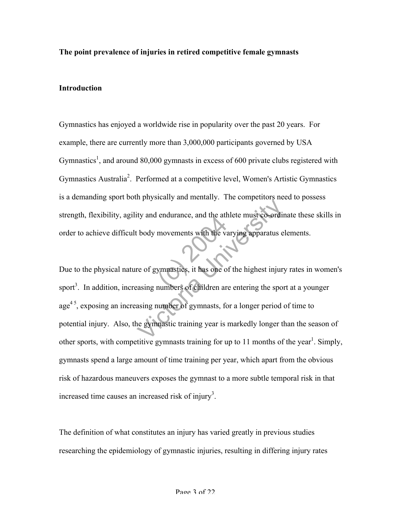#### **The point prevalence of injuries in retired competitive female gymnasts**

## **Introduction**

Gymnastics has enjoyed a worldwide rise in popularity over the past 20 years. For example, there are currently more than 3,000,000 participants governed by USA Gymnastics<sup>1</sup>, and around 80,000 gymnasts in excess of 600 private clubs registered with Gymnastics Australia<sup>2</sup>. Performed at a competitive level, Women's Artistic Gymnastics is a demanding sport both physically and mentally. The competitors need to possess strength, flexibility, agility and endurance, and the athlete must co-ordinate these skills in order to achieve difficult body movements with the varying apparatus elements.

movements with the values<br>movements with the values<br>ymnastics, it has one of<br>numbers of children are The competitive of competitive to the attack the varying apparatus expected<br>to body movements with the varying apparatus expected<br>to varying apparatus expected to varying apparatus expected<br>the varying state of children ar Due to the physical nature of gymnastics, it has one of the highest injury rates in women's sport<sup>3</sup>. In addition, increasing numbers of children are entering the sport at a younger  $age<sup>4.5</sup>$ , exposing an increasing number of gymnasts, for a longer period of time to potential injury. Also, the gymnastic training year is markedly longer than the season of other sports, with competitive gymnasts training for up to 11 months of the year<sup>1</sup>. Simply, gymnasts spend a large amount of time training per year, which apart from the obvious risk of hazardous maneuvers exposes the gymnast to a more subtle temporal risk in that increased time causes an increased risk of injury<sup>3</sup>.

The definition of what constitutes an injury has varied greatly in previous studies researching the epidemiology of gymnastic injuries, resulting in differing injury rates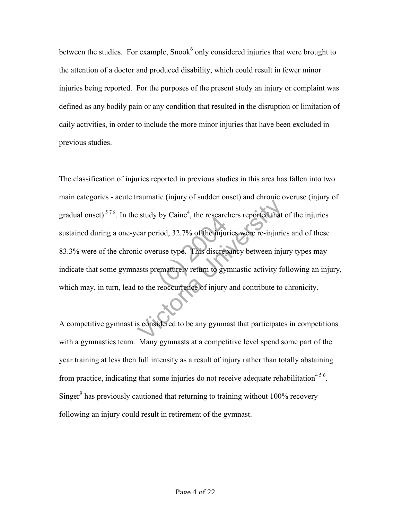between the studies. For example, Snook $6$  only considered injuries that were brought to the attention of a doctor and produced disability, which could result in fewer minor injuries being reported. For the purposes of the present study an injury or complaint was defined as any bodily pain or any condition that resulted in the disruption or limitation of daily activities, in order to include the more minor injuries that have been excluded in previous studies.

by Calle , the research<br>
riod, 32.7% of the injure<br>
ruse type. This discrep<br>
ematurely return to gyreoccurrence of injury Examinate (ii) any of statuten since, and since the set of that<br>ear period, 32.7% of the injuries were re-injurie<br>ic overuse type. This discrepancy between inju<br>asts prematurely return to gymnastic activity fo<br>to the reocc The classification of injuries reported in previous studies in this area has fallen into two main categories - acute traumatic (injury of sudden onset) and chronic overuse (injury of gradual onset)<sup>578</sup>. In the study by Caine<sup>4</sup>, the researchers reported that of the injuries sustained during a one-year period, 32.7% of the injuries were re-injuries and of these 83.3% were of the chronic overuse type. This discrepancy between injury types may indicate that some gymnasts prematurely return to gymnastic activity following an injury, which may, in turn, lead to the reoccurrence of injury and contribute to chronicity.

A competitive gymnast is considered to be any gymnast that participates in competitions with a gymnastics team. Many gymnasts at a competitive level spend some part of the year training at less then full intensity as a result of injury rather than totally abstaining from practice, indicating that some injuries do not receive adequate rehabilitation<sup>456</sup>. Singer $9$  has previously cautioned that returning to training without 100% recovery following an injury could result in retirement of the gymnast.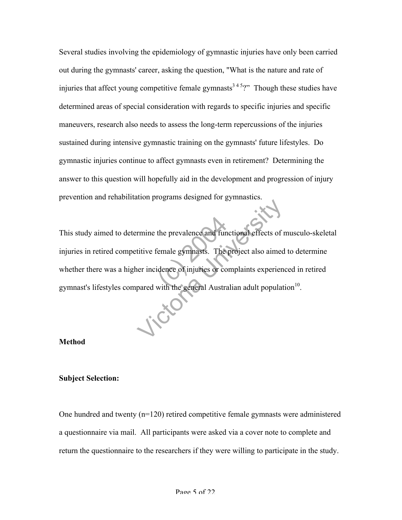Several studies involving the epidemiology of gymnastic injuries have only been carried out during the gymnasts' career, asking the question, "What is the nature and rate of injuries that affect young competitive female gymnasts<sup>345</sup>?" Though these studies have determined areas of special consideration with regards to specific injuries and specific maneuvers, research also needs to assess the long-term repercussions of the injuries sustained during intensive gymnastic training on the gymnasts' future lifestyles. Do gymnastic injuries continue to affect gymnasts even in retirement? Determining the answer to this question will hopefully aid in the development and progression of injury prevention and rehabilitation programs designed for gymnastics.

the prevalence and fun<br>
iemale gymnasts. The<br>
idence of injuries or co<br>
with the general Austra The property of the project also aimed<br>tritive female gymnasts. The project also aimed<br>er incidence of injuries or complaints experience<br>pared with the general Australian adult populat This study aimed to determine the prevalence and functional effects of musculo-skeletal injuries in retired competitive female gymnasts. The project also aimed to determine whether there was a higher incidence of injuries or complaints experienced in retired gymnast's lifestyles compared with the general Australian adult population $10$ .

#### **Method**

#### **Subject Selection:**

One hundred and twenty  $(n=120)$  retired competitive female gymnasts were administered a questionnaire via mail. All participants were asked via a cover note to complete and return the questionnaire to the researchers if they were willing to participate in the study.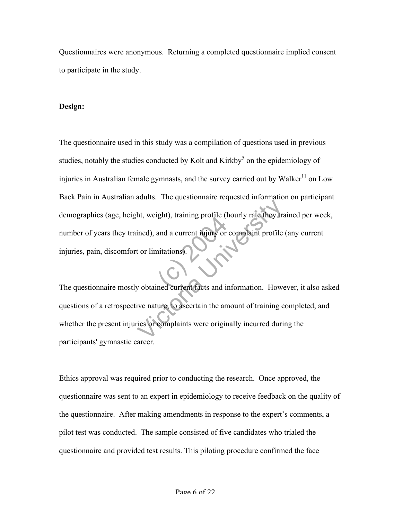Questionnaires were anonymous. Returning a completed questionnaire implied consent to participate in the study.

## **Design:**

The questionnaire mostly obtained current facts and information. However, it also asked The questionnaire used in this study was a compilation of questions used in previous studies, notably the studies conducted by Kolt and Kirkby<sup>5</sup> on the epidemiology of injuries in Australian female gymnasts, and the survey carried out by Walker<sup>11</sup> on Low Back Pain in Australian adults. The questionnaire requested information on participant demographics (age, height, weight), training profile (hourly rate they trained per week, number of years they trained), and a current injury or complaint profile (any current injuries, pain, discomfort or limitations).

Mathematic Proposition in the they trained), and a current injury or complaint profile<br>t or limitations).<br>We obtained current facts and information. However,<br>two mature, to ascertain the amount of training c<br>ries or compla questions of a retrospective nature, to ascertain the amount of training completed, and whether the present injuries or complaints were originally incurred during the participants' gymnastic career.

Ethics approval was required prior to conducting the research. Once approved, the questionnaire was sent to an expert in epidemiology to receive feedback on the quality of the questionnaire. After making amendments in response to the expert's comments, a pilot test was conducted. The sample consisted of five candidates who trialed the questionnaire and provided test results. This piloting procedure confirmed the face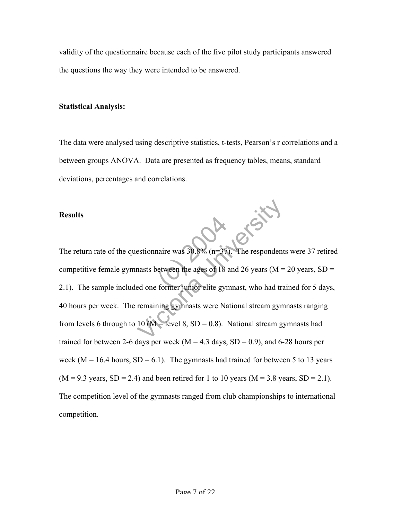validity of the questionnaire because each of the five pilot study participants answered the questions the way they were intended to be answered.

#### **Statistical Analysis:**

The data were analysed using descriptive statistics, t-tests, Pearson's r correlations and a between groups ANOVA. Data are presented as frequency tables, means, standard deviations, percentages and correlations.

#### **Results**

naire was  $30.8\%$  (n=37<br>etween the ages of 18<br>former junior elite gyr estionnaire was 30.8% (n=37). The respondent<br>nasts between the ages of 18 and 26 years (M =<br>ed one former junior elite gymnast, who had tra<br>remaining gymnasts were National stream gym<br>10 (M = level 8, SD = 0.8). National The return rate of the questionnaire was 30.8% (n=37). The respondents were 37 retired competitive female gymnasts between the ages of 18 and 26 years ( $M = 20$  years,  $SD =$ 2.1). The sample included one former junior elite gymnast, who had trained for 5 days, 40 hours per week. The remaining gymnasts were National stream gymnasts ranging from levels 6 through to 10 ( $M$  = level 8, SD = 0.8). National stream gymnasts had trained for between 2-6 days per week ( $M = 4.3$  days,  $SD = 0.9$ ), and 6-28 hours per week ( $M = 16.4$  hours,  $SD = 6.1$ ). The gymnasts had trained for between 5 to 13 years  $(M = 9.3$  years,  $SD = 2.4$ ) and been retired for 1 to 10 years  $(M = 3.8$  years,  $SD = 2.1$ . The competition level of the gymnasts ranged from club championships to international competition.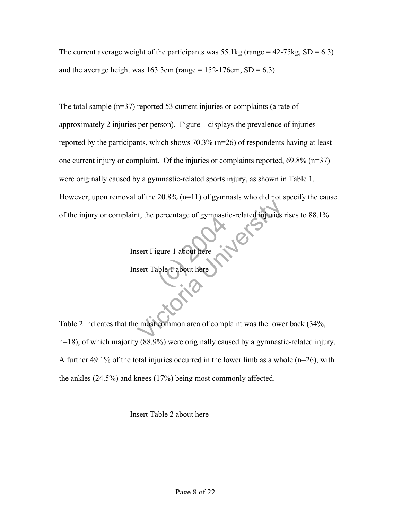The current average weight of the participants was  $55.1\text{kg}$  (range = 42-75kg, SD = 6.3) and the average height was  $163.3cm$  (range =  $152-176cm$ , SD = 6.3).

The total sample (n=37) reported 53 current injuries or complaints (a rate of approximately 2 injuries per person). Figure 1 displays the prevalence of injuries reported by the participants, which shows 70.3% (n=26) of respondents having at least one current injury or complaint. Of the injuries or complaints reported, 69.8% (n=37) were originally caused by a gymnastic-related sports injury, as shown in Table 1. However, upon removal of the  $20.8\%$  (n=11) of gymnasts who did not specify the cause of the injury or complaint, the percentage of gymnastic-related injuries rises to 88.1%.

Insert Figure 1 about here

SURFERING OF BYTHERS Insert Table 1 about here

Et al., the percentage of gymnastic-related injuries is<br>sert Figure 1 about here<br>sert Table 1 about here<br>expected to the common area of complaint was the lowe Table 2 indicates that the most common area of complaint was the lower back (34%, n=18), of which majority (88.9%) were originally caused by a gymnastic-related injury. A further 49.1% of the total injuries occurred in the lower limb as a whole  $(n=26)$ , with the ankles (24.5%) and knees (17%) being most commonly affected.

Insert Table 2 about here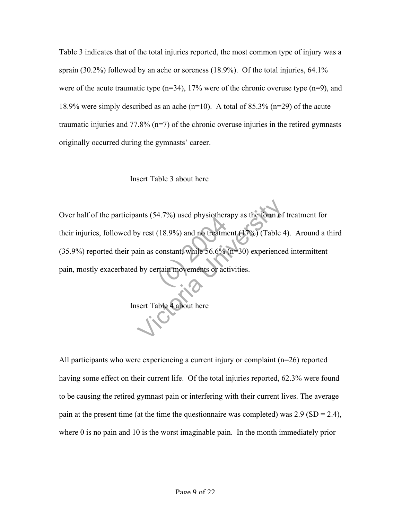Table 3 indicates that of the total injuries reported, the most common type of injury was a sprain (30.2%) followed by an ache or soreness (18.9%). Of the total injuries, 64.1% were of the acute traumatic type  $(n=34)$ , 17% were of the chronic overuse type  $(n=9)$ , and 18.9% were simply described as an ache (n=10). A total of 85.3% (n=29) of the acute traumatic injuries and 77.8%  $(n=7)$  of the chronic overuse injuries in the retired gymnasts originally occurred during the gymnasts' career.

## Insert Table 3 about here

4.7%) used physiolicia<br>
(18.9%) and no treatme<br>
constant, while 56.6%<br>
rtain movements or act ants (54.7%) used physiotherapy as the form of<br>y rest (18.9%) and no treatment (17%) (Table 4<br>ain as constant, while 56.6% (n=30) experience<br>I by certain movements or activities.<br>sert Table 4 about here Over half of the participants (54.7%) used physiotherapy as the form of treatment for their injuries, followed by rest (18.9%) and no treatment (17%) (Table 4). Around a third (35.9%) reported their pain as constant, while 56.6% (n=30) experienced intermittent pain, mostly exacerbated by certain movements or activities.

Insert Table 4 about here

All participants who were experiencing a current injury or complaint (n=26) reported having some effect on their current life. Of the total injuries reported, 62.3% were found to be causing the retired gymnast pain or interfering with their current lives. The average pain at the present time (at the time the questionnaire was completed) was  $2.9$  (SD =  $2.4$ ), where 0 is no pain and 10 is the worst imaginable pain. In the month immediately prior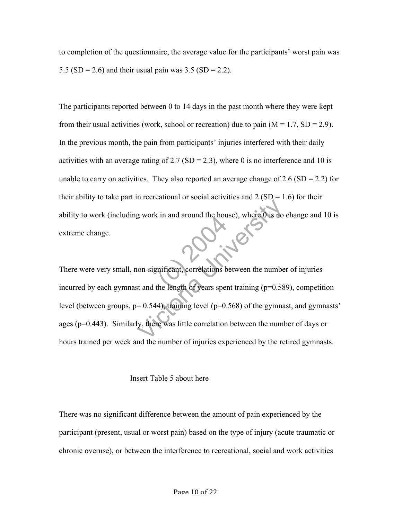to completion of the questionnaire, the average value for the participants' worst pain was 5.5 (SD = 2.6) and their usual pain was 3.5 (SD = 2.2).

The participants reported between 0 to 14 days in the past month where they were kept from their usual activities (work, school or recreation) due to pain  $(M = 1.7, SD = 2.9)$ . In the previous month, the pain from participants' injuries interfered with their daily activities with an average rating of 2.7 (SD = 2.3), where 0 is no interference and 10 is unable to carry on activities. They also reported an average change of 2.6 (SD = 2.2) for their ability to take part in recreational or social activities and  $2(SD = 1.6)$  for their ability to work (including work in and around the house), where 0 is no change and 10 is extreme change.

the and around the hours<br>the length of years spen g work in and around the house), where 0 is no<br>g work in and around the house), where 0 is no<br>non-significant, correlations between the numbe<br>st and the length of years spent training (p=0.58<br>= 0.544), training level (p=0 There were very small, non-significant, correlations between the number of injuries incurred by each gymnast and the length of years spent training  $(p=0.589)$ , competition level (between groups,  $p= 0.544$ ), training level ( $p=0.568$ ) of the gymnast, and gymnasts' ages (p=0.443). Similarly, there was little correlation between the number of days or hours trained per week and the number of injuries experienced by the retired gymnasts.

#### Insert Table 5 about here

There was no significant difference between the amount of pain experienced by the participant (present, usual or worst pain) based on the type of injury (acute traumatic or chronic overuse), or between the interference to recreational, social and work activities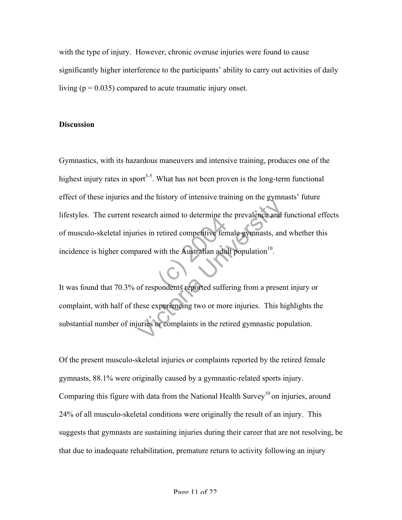with the type of injury. However, chronic overuse injuries were found to cause significantly higher interference to the participants' ability to carry out activities of daily living ( $p = 0.035$ ) compared to acute traumatic injury onset.

## **Discussion**

retired competitive fen<br>
with the Australian adu<br>
bondents reported suffer Example 1 and the distribution of the prevalence and the search aimed to determine the prevalence and the search aim retired competitive female gymnasts, and parad with the Australian adult population<sup>10</sup>.<br>On the search of Gymnastics, with its hazardous maneuvers and intensive training, produces one of the highest injury rates in sport<sup>3-5</sup>. What has not been proven is the long-term functional effect of these injuries and the history of intensive training on the gymnasts' future lifestyles. The current research aimed to determine the prevalence and functional effects of musculo-skeletal injuries in retired competitive female gymnasts, and whether this incidence is higher compared with the Australian adult population $10$ .

It was found that 70.3% of respondents reported suffering from a present injury or complaint, with half of these experiencing two or more injuries. This highlights the substantial number of injuries or complaints in the retired gymnastic population.

Of the present musculo-skeletal injuries or complaints reported by the retired female gymnasts, 88.1% were originally caused by a gymnastic-related sports injury. Comparing this figure with data from the National Health Survey<sup>10</sup> on injuries, around 24% of all musculo-skeletal conditions were originally the result of an injury. This suggests that gymnasts are sustaining injuries during their career that are not resolving, be that due to inadequate rehabilitation, premature return to activity following an injury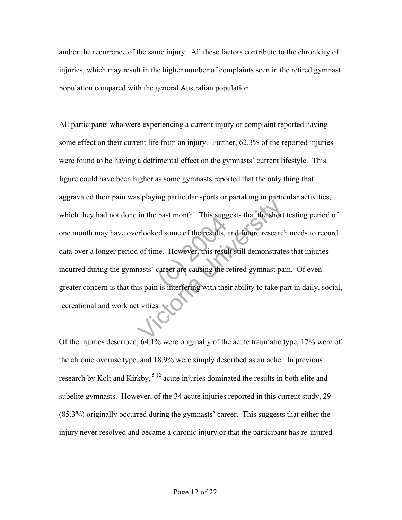and/or the recurrence of the same injury. All these factors contribute to the chronicity of injuries, which may result in the higher number of complaints seen in the retired gymnast population compared with the general Australian population.

past month. This sugged<br>ed some of the results,<br>ne. However, this results<br>career are causing the r in the past month. This suggests that the short<br>erlooked some of the results, and future research<br>of time. However, this result still demonstrate<br>masts' career are causing the retired gymnast pa<br>is pain is interfering with All participants who were experiencing a current injury or complaint reported having some effect on their current life from an injury. Further, 62.3% of the reported injuries were found to be having a detrimental effect on the gymnasts' current lifestyle. This figure could have been higher as some gymnasts reported that the only thing that aggravated their pain was playing particular sports or partaking in particular activities, which they had not done in the past month. This suggests that the short testing period of one month may have overlooked some of the results, and future research needs to record data over a longer period of time. However, this result still demonstrates that injuries incurred during the gymnasts' career are causing the retired gymnast pain. Of even greater concern is that this pain is interfering with their ability to take part in daily, social, recreational and work activities.

Of the injuries described, 64.1% were originally of the acute traumatic type, 17% were of the chronic overuse type, and 18.9% were simply described as an ache. In previous research by Kolt and Kirkby, <sup>512</sup> acute injuries dominated the results in both elite and subelite gymnasts. However, of the 34 acute injuries reported in this current study, 29 (85.3%) originally occurred during the gymnasts' career. This suggests that either the injury never resolved and became a chronic injury or that the participant has re-injured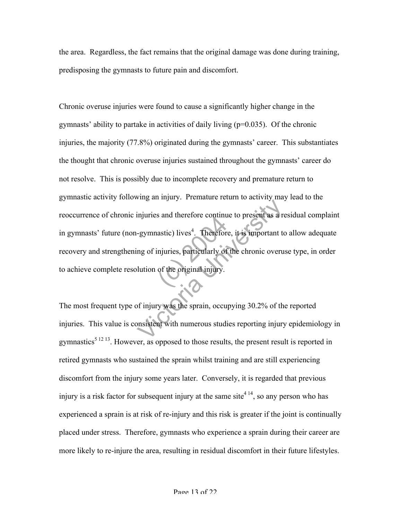the area. Regardless, the fact remains that the original damage was done during training, predisposing the gymnasts to future pain and discomfort.

astic) lives<sup>4</sup>. Therefore<br>injuries, particularly of<br>of the original injury. Example 1988. Therefore, it is important to<br>the distribution of the effore, it is important to<br>the of injuries, particularly of the chronic overulution<br>of the original injury.<br>of injury was the sprain, occupying 30.2% of t Chronic overuse injuries were found to cause a significantly higher change in the gymnasts' ability to partake in activities of daily living  $(p=0.035)$ . Of the chronic injuries, the majority (77.8%) originated during the gymnasts' career. This substantiates the thought that chronic overuse injuries sustained throughout the gymnasts' career do not resolve. This is possibly due to incomplete recovery and premature return to gymnastic activity following an injury. Premature return to activity may lead to the reoccurrence of chronic injuries and therefore continue to present as a residual complaint in gymnasts' future (non-gymnastic) lives<sup>4</sup>. Therefore, it is important to allow adequate recovery and strengthening of injuries, particularly of the chronic overuse type, in order to achieve complete resolution of the original injury.

The most frequent type of injury was the sprain, occupying 30.2% of the reported injuries. This value is consistent with numerous studies reporting injury epidemiology in gymnastics<sup> $51213$ </sup>. However, as opposed to those results, the present result is reported in retired gymnasts who sustained the sprain whilst training and are still experiencing discomfort from the injury some years later. Conversely, it is regarded that previous injury is a risk factor for subsequent injury at the same site<sup>4 14</sup>, so any person who has experienced a sprain is at risk of re-injury and this risk is greater if the joint is continually placed under stress. Therefore, gymnasts who experience a sprain during their career are more likely to re-injure the area, resulting in residual discomfort in their future lifestyles.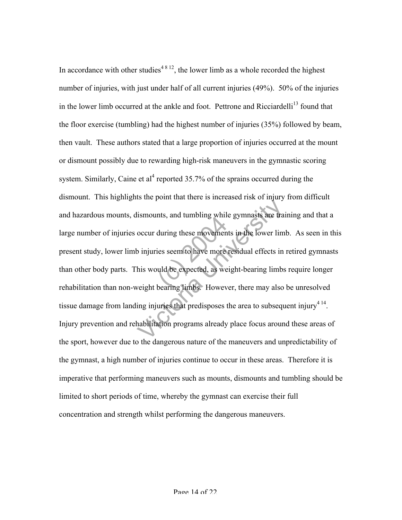during these movement<br>ies seem to have more<br>uld be expected, as we<br>bearing limbs. Howev Ismounts, and tumbling while gymnasts are transported that of the lower lim<br>Sismounts, and tumbling while gymnasts are transported to the lower lim<br>Dinjuries seem to have more residual effects in<br>his would be expected, as In accordance with other studies<sup>48 12</sup>, the lower limb as a whole recorded the highest number of injuries, with just under half of all current injuries (49%). 50% of the injuries in the lower limb occurred at the ankle and foot. Pettrone and Ricciardelli<sup>13</sup> found that the floor exercise (tumbling) had the highest number of injuries (35%) followed by beam, then vault. These authors stated that a large proportion of injuries occurred at the mount or dismount possibly due to rewarding high-risk maneuvers in the gymnastic scoring system. Similarly, Caine et al<sup>4</sup> reported 35.7% of the sprains occurred during the dismount. This highlights the point that there is increased risk of injury from difficult and hazardous mounts, dismounts, and tumbling while gymnasts are training and that a large number of injuries occur during these movements in the lower limb. As seen in this present study, lower limb injuries seem to have more residual effects in retired gymnasts than other body parts. This would be expected, as weight-bearing limbs require longer rehabilitation than non-weight bearing limbs. However, there may also be unresolved tissue damage from landing injuries that predisposes the area to subsequent injury<sup>414</sup>. Injury prevention and rehabilitation programs already place focus around these areas of the sport, however due to the dangerous nature of the maneuvers and unpredictability of the gymnast, a high number of injuries continue to occur in these areas. Therefore it is imperative that performing maneuvers such as mounts, dismounts and tumbling should be limited to short periods of time, whereby the gymnast can exercise their full concentration and strength whilst performing the dangerous maneuvers.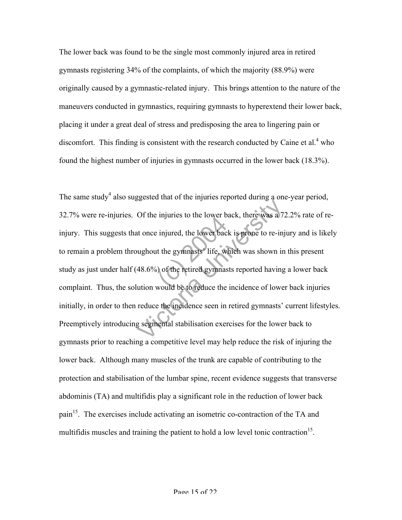The lower back was found to be the single most commonly injured area in retired gymnasts registering 34% of the complaints, of which the majority (88.9%) were originally caused by a gymnastic-related injury. This brings attention to the nature of the maneuvers conducted in gymnastics, requiring gymnasts to hyperextend their lower back, placing it under a great deal of stress and predisposing the area to lingering pain or discomfort. This finding is consistent with the research conducted by Caine et al. $4$  who found the highest number of injuries in gymnasts occurred in the lower back (18.3%).

matter of the lower back is<br>the gymnasts' life, with the gymnasts' life, with the retired gymnastic<br>of the retired gymnas Of the injuries to the lower back, there was a 7.<br>at once injured, the lower back is prone to re-injughout the gymnasts' life, which was shown in<br>48.6%) of the retired gymnasts reported having<br>ution would be to reduce the The same study<sup>4</sup> also suggested that of the injuries reported during a one-year period, 32.7% were re-injuries. Of the injuries to the lower back, there was a 72.2% rate of reinjury. This suggests that once injured, the lower back is prone to re-injury and is likely to remain a problem throughout the gymnasts' life, which was shown in this present study as just under half (48.6%) of the retired gymnasts reported having a lower back complaint. Thus, the solution would be to reduce the incidence of lower back injuries initially, in order to then reduce the incidence seen in retired gymnasts' current lifestyles. Preemptively introducing segmental stabilisation exercises for the lower back to gymnasts prior to reaching a competitive level may help reduce the risk of injuring the lower back. Although many muscles of the trunk are capable of contributing to the protection and stabilisation of the lumbar spine, recent evidence suggests that transverse abdominis (TA) and multifidis play a significant role in the reduction of lower back pain<sup>15</sup>. The exercises include activating an isometric co-contraction of the TA and multifidis muscles and training the patient to hold a low level tonic contraction<sup>15</sup>.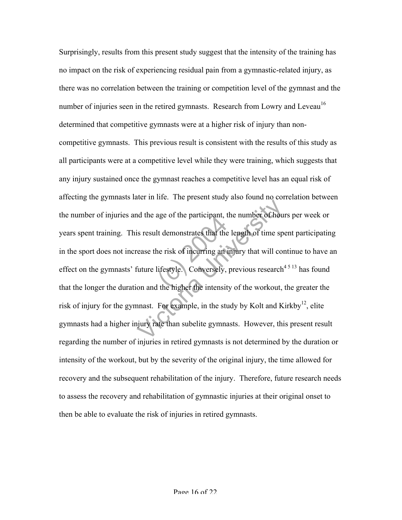age of the participant, the<br>It demonstrates that the<br>ne risk of incurring an intensity.<br>It the higher the intensity We have the present state joints to be the model of the age of the participant, the number of hours<br>is result demonstrates that the length of time spease the risk of incurring an injury that will concurrent<br>future lifestyl Surprisingly, results from this present study suggest that the intensity of the training has no impact on the risk of experiencing residual pain from a gymnastic-related injury, as there was no correlation between the training or competition level of the gymnast and the number of injuries seen in the retired gymnasts. Research from Lowry and Leveau<sup>16</sup> determined that competitive gymnasts were at a higher risk of injury than noncompetitive gymnasts. This previous result is consistent with the results of this study as all participants were at a competitive level while they were training, which suggests that any injury sustained once the gymnast reaches a competitive level has an equal risk of affecting the gymnasts later in life. The present study also found no correlation between the number of injuries and the age of the participant, the number of hours per week or years spent training. This result demonstrates that the length of time spent participating in the sport does not increase the risk of incurring an injury that will continue to have an effect on the gymnasts' future lifestyle. Conversely, previous research<sup>4513</sup> has found that the longer the duration and the higher the intensity of the workout, the greater the risk of injury for the gymnast. For example, in the study by Kolt and Kirkby<sup>12</sup>, elite gymnasts had a higher injury rate than subelite gymnasts. However, this present result regarding the number of injuries in retired gymnasts is not determined by the duration or intensity of the workout, but by the severity of the original injury, the time allowed for recovery and the subsequent rehabilitation of the injury. Therefore, future research needs to assess the recovery and rehabilitation of gymnastic injuries at their original onset to then be able to evaluate the risk of injuries in retired gymnasts.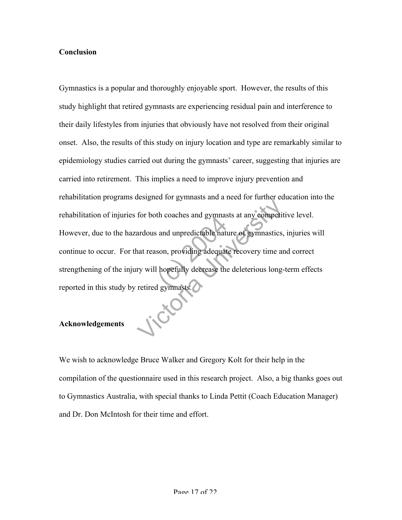## **Conclusion**

and unpredictable natures.<br>
son, providing adequat<br>
hopefully decrease the<br>
d gymnasts. For both coaches and gymnasts at any competit<br>for both coaches and gymnasts at any competit<br>ardous and unpredictable nature of gymnastics,<br>nat reason, providing adequate recovery time an<br>ry will hopefully decrease the dele Gymnastics is a popular and thoroughly enjoyable sport. However, the results of this study highlight that retired gymnasts are experiencing residual pain and interference to their daily lifestyles from injuries that obviously have not resolved from their original onset. Also, the results of this study on injury location and type are remarkably similar to epidemiology studies carried out during the gymnasts' career, suggesting that injuries are carried into retirement. This implies a need to improve injury prevention and rehabilitation programs designed for gymnasts and a need for further education into the rehabilitation of injuries for both coaches and gymnasts at any competitive level. However, due to the hazardous and unpredictable nature of gymnastics, injuries will continue to occur. For that reason, providing adequate recovery time and correct strengthening of the injury will hopefully decrease the deleterious long-term effects reported in this study by retired gymnasts.

## **Acknowledgements**

We wish to acknowledge Bruce Walker and Gregory Kolt for their help in the compilation of the questionnaire used in this research project. Also, a big thanks goes out to Gymnastics Australia, with special thanks to Linda Pettit (Coach Education Manager) and Dr. Don McIntosh for their time and effort.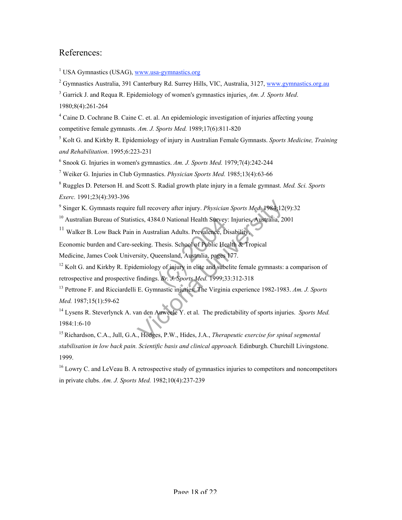## References:

<sup>1</sup> USA Gymnastics (USAG), www.usa-gymnastics.org

<sup>2</sup> Gymnastics Australia, 391 Canterbury Rd. Surrey Hills, VIC, Australia, 3127, www.gymnastics.org.au

3 Garrick J. and Requa R. Epidemiology of women's gymnastics injuries. *Am. J. Sports Med*.

1980;8(4):261-264

<sup>4</sup> Caine D. Cochrane B. Caine C. et. al. An epidemiologic investigation of injuries affecting young competitive female gymnasts. *Am. J. Sports Med.* 1989;17(6):811-820

5 Kolt G. and Kirkby R. Epidemiology of injury in Australian Female Gymnasts. *Sports Medicine, Training and Rehabilitation*. 1995;6:223-231

6 Snook G. Injuries in women's gymnastics. *Am. J. Sports Med.* 1979;7(4):242-244

7 Weiker G. Injuries in Club Gymnastics. *Physician Sports Med.* 1985;13(4):63-66

8 Ruggles D. Peterson H. and Scott S. Radial growth plate injury in a female gymnast. *Med. Sci. Sports Exerc.* 1991;23(4):393-396

9 Singer K. Gymnasts require full recovery after injury. *Physician Sports Med.* 1984;12(9):32

<sup>10</sup> Australian Bureau of Statistics, 4384.0 National Health Survey: Injuries, Australia, 2001

<sup>11</sup> Walker B. Low Back Pain in Australian Adults. Prevalence, Disability,

Economic burden and Care-seeking. Thesis. School of Public Health & Tropical

Medicine, James Cook University, Queensland, Australia, pages 177.

4.0 National Health Survey<br>
calian Adults. Prevalence, D<br>
Thesis. School of Public Hea<br>
ueensland, Australia, pages<br>
gy of injury in elite and sube<br>
S. Br. J. Sports Med. 1999;3. full recovery after injury. *Physician Sports Med.* 1984;12<br>ics, 4384.0 National Health Survey: Injuries, Australia, 20<br>in Australian Adults. Prevalence, Disability,<br>eking. Thesis. School of Public Health & Tropical<br>sity, <sup>12</sup> Kolt G. and Kirkby R. Epidemiology of injury in elite and subelite female gymnasts: a comparison of retrospective and prospective findings. *Br. J. Sports Med.* 1999;33:312-318

13 Pettrone F. and Ricciardelli E. Gymnastic injuries: The Virginia experience 1982-1983. *Am. J. Sports Med.* 1987;15(1):59-62

14 Lysens R. Steverlynck A. van den Auweele Y. et al. The predictability of sports injuries. *Sports Med.* 1984:1:6-10

15 Richardson, C.A., Jull, G.A., Hodges, P.W., Hides, J.A., *Therapeutic exercise for spinal segmental stabilisation in low back pain. Scientific basis and clinical approach.* Edinburgh. Churchill Livingstone. 1999.

 $16$  Lowry C. and LeVeau B. A retrospective study of gymnastics injuries to competitors and noncompetitors in private clubs. *Am. J. Sports Med.* 1982;10(4):237-239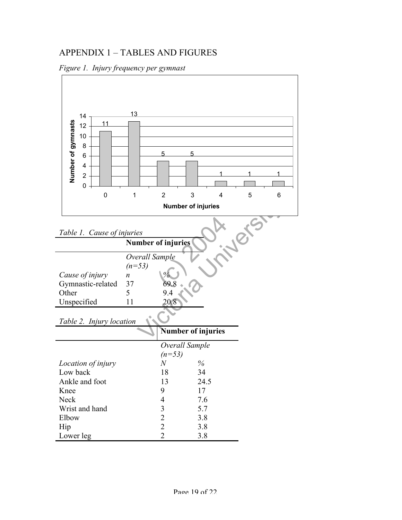# APPENDIX 1 – TABLES AND FIGURES



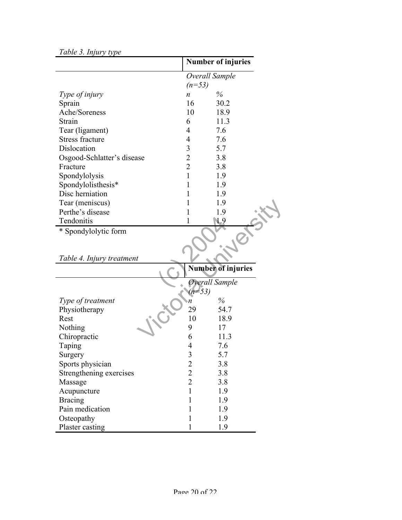| Tuble 5. Injury type       | <b>Number of injuries</b> |      |  |
|----------------------------|---------------------------|------|--|
|                            |                           |      |  |
|                            | Overall Sample            |      |  |
|                            | $(n=53)$                  |      |  |
| Type of injury             | n                         | $\%$ |  |
| Sprain                     | 16                        | 30.2 |  |
| Ache/Soreness              | 10                        | 18.9 |  |
| Strain                     | 6                         | 11.3 |  |
| Tear (ligament)            | 4                         | 7.6  |  |
| <b>Stress fracture</b>     | 4                         | 7.6  |  |
| Dislocation                | 3                         | 5.7  |  |
| Osgood-Schlatter's disease | $\overline{2}$            | 3.8  |  |
| Fracture                   | $\overline{2}$            | 3.8  |  |
| Spondylolysis              | $\mathbf{1}$              | 1.9  |  |
| Spondylolisthesis*         | 1                         | 1.9  |  |
| Disc herniation            | 1                         | 1.9  |  |
| Tear (meniscus)            |                           | 1.9  |  |
| Perthe's disease           |                           | 1.9  |  |
| Tendonitis                 |                           | 1.9  |  |
| * Spondylolytic form       |                           |      |  |
|                            |                           |      |  |
|                            |                           |      |  |
| Tablo A Injury troatmont   |                           |      |  |

## *Table 3. Injury type*

| Tear (meniscus)           |                | 1.9                       |
|---------------------------|----------------|---------------------------|
| Perthe's disease          |                | 1.9                       |
| Tendonitis                |                | . 9                       |
| * Spondylolytic form      |                |                           |
|                           |                |                           |
|                           |                |                           |
| Table 4. Injury treatment |                |                           |
|                           |                | <b>Number of injuries</b> |
|                           |                | Overall Sample            |
|                           | $(n=53)$       |                           |
| Type of treatment         | n              | $\%$                      |
| Physiotherapy             | 29             | 54.7                      |
| Rest                      | 10             | 18.9                      |
| Nothing                   | 9              | 17                        |
| Chiropractic              | 6              | 11.3                      |
| Taping                    | 4              | 7.6                       |
| Surgery                   | 3              | 5.7                       |
| Sports physician          | $\overline{c}$ | 3.8                       |
| Strengthening exercises   | $\overline{2}$ | 3.8                       |
| Massage                   | $\overline{2}$ | 3.8                       |
| Acupuncture               | $\mathbf{1}$   | 1.9                       |
| <b>Bracing</b>            |                | 1.9                       |
| Pain medication           |                | 1.9                       |
| Osteopathy                |                | 1.9                       |
| Plaster casting           |                | 1.9                       |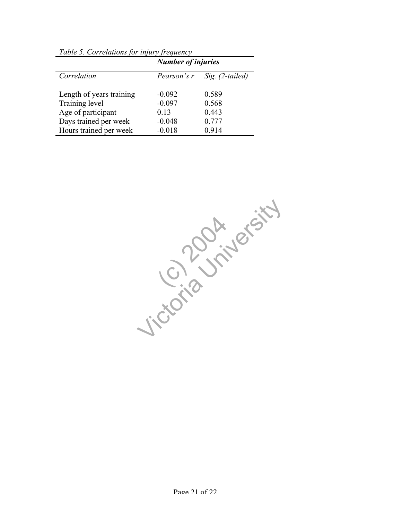| Tuble 5. Correlations for infury frequency | <b>Number of injuries</b> |                 |  |
|--------------------------------------------|---------------------------|-----------------|--|
| Correlation                                | Pearson's r               | Sig. (2-tailed) |  |
| Length of years training                   | $-0.092$                  | 0.589           |  |
| Training level                             | $-0.097$                  | 0.568           |  |
| Age of participant                         | 0.13                      | 0.443           |  |
| Days trained per week                      | $-0.048$                  | 0.777           |  |
| Hours trained per week                     | $-0.018$                  | 0.914           |  |

*Table 5. Correlations for injury frequency*

(c) 2012 Jicordan University